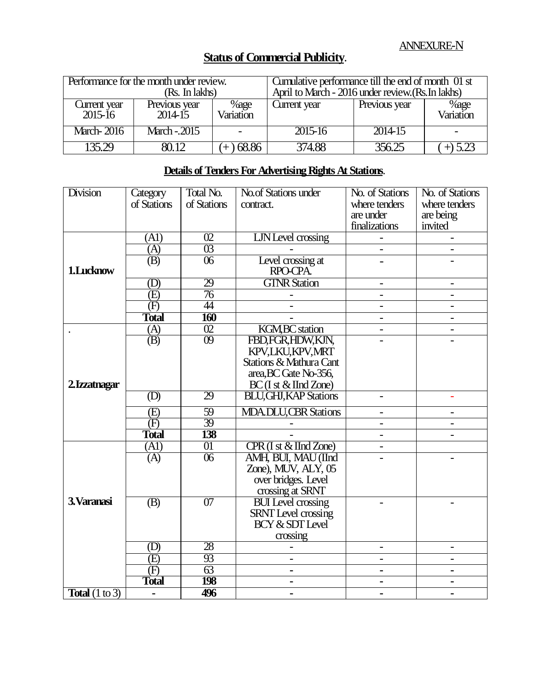|                             | Performance for the month under review.<br>(Rs. In lakhs) |                   | Cumulative performance till the end of month 01 st<br>April to March - 2016 under review. (Rs. In lakhs) |               |                   |
|-----------------------------|-----------------------------------------------------------|-------------------|----------------------------------------------------------------------------------------------------------|---------------|-------------------|
| Current year<br>$2015 - 16$ | Previous year<br>$2014-15$                                | %age<br>Variation | Current year                                                                                             | Previous year | %age<br>Variation |
| <b>March-2016</b>           | March - 2015                                              |                   | 2015-16                                                                                                  | 2014-15       |                   |
| 135.29                      |                                                           | 68.86             | 374.88                                                                                                   | 356.25        | $+) 5.2^2$        |

## **Status of Commercial Publicity.**

## **Details of Tenders For Advertising Rights At Stations**.

| <b>Division</b>                  | Category                                | Total No.       | No.of Stations under                   | No. of Stations          | No. of Stations              |
|----------------------------------|-----------------------------------------|-----------------|----------------------------------------|--------------------------|------------------------------|
|                                  | of Stations                             | of Stations     | contract.                              | where tenders            | where tenders                |
|                                  |                                         |                 |                                        | are under                | are being                    |
|                                  |                                         |                 |                                        | finalizations            | invited                      |
| 1.Lucknow                        | (A1)                                    | $\overline{02}$ | LJN Level crossing                     |                          |                              |
|                                  | (A)                                     | $\overline{03}$ |                                        | $\overline{\phantom{0}}$ | $\overline{\phantom{0}}$     |
|                                  | $\overline{(B)}$                        | $\overline{06}$ | Level crossing at                      |                          |                              |
|                                  |                                         |                 | RPO-CPA                                |                          |                              |
|                                  | (D)                                     | 29              | <b>GTNR Station</b>                    |                          |                              |
|                                  | $\overline{E}$                          | 76              |                                        |                          |                              |
|                                  | (F)                                     | 44              |                                        |                          |                              |
|                                  | <b>Total</b>                            | 160             |                                        | $\overline{\phantom{a}}$ | $\overline{\phantom{a}}$     |
|                                  | $\frac{\overline{(A)}}{\overline{(B)}}$ | $\overline{02}$ | <b>KGM, BC</b> station                 | $\overline{\phantom{0}}$ |                              |
|                                  |                                         | $\overline{09}$ | FBD, FGR, HDW, KJN,                    |                          |                              |
|                                  |                                         |                 | KPV,LKU,KPV,MRT                        |                          |                              |
|                                  |                                         |                 | Stations & Mathura Cant                |                          |                              |
|                                  |                                         |                 | area, BC Gate No-356,                  |                          |                              |
| 2.Izzatnagar                     |                                         |                 | $BC$ (I st $\&$ IInd Zone)             |                          |                              |
|                                  | (D)                                     | 29              | <b>BLU, GHJ, KAP Stations</b>          |                          |                              |
|                                  | (E)                                     | 59              | <b>MDA.DLU,CBR Stations</b>            | $\blacksquare$           |                              |
|                                  | $\overline{(\mathrm{F})}$               | 39              |                                        | $\overline{a}$           |                              |
|                                  | <b>Total</b>                            | 138             |                                        |                          |                              |
|                                  | (A1)                                    | 01              | $CPR$ (I st $\&$ IInd Zone)            |                          |                              |
|                                  | (A)                                     | $\overline{06}$ | AMH, BUI, MAU (IInd                    |                          |                              |
|                                  |                                         |                 | Zone), MUV, ALY, 05                    |                          |                              |
|                                  |                                         |                 | over bridges. Level                    |                          |                              |
|                                  |                                         |                 | crossing at SRNT                       |                          |                              |
| 3. Varanasi                      | (B)                                     | 07              | <b>BUI</b> Level crossing              |                          |                              |
|                                  |                                         |                 | SRNT Level crossing<br>BCY & SDT Level |                          |                              |
|                                  |                                         |                 |                                        |                          |                              |
|                                  |                                         |                 | crossing                               |                          |                              |
|                                  | (D)                                     | 28              |                                        | $\qquad \qquad -$        | $\qquad \qquad \blacksquare$ |
|                                  | (E)                                     | 93              | $\equiv$                               | $\blacksquare$           | $\blacksquare$               |
|                                  | (F)                                     | 63              | $\blacksquare$                         | $\blacksquare$           | $\blacksquare$               |
|                                  | <b>Total</b>                            | <b>198</b>      | $\blacksquare$                         | $\blacksquare$           | $\blacksquare$               |
| <b>Total</b> $(1 \text{ to } 3)$ |                                         | 496             |                                        |                          |                              |